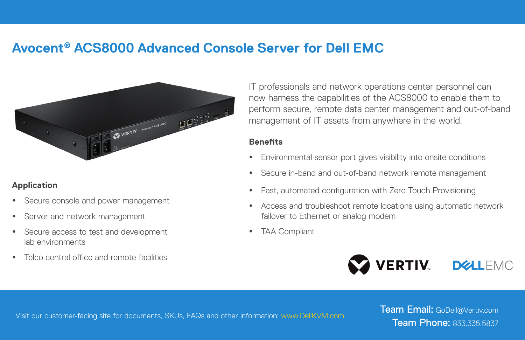## **Avocent® ACS8000 Advanced Console Server for Dell EMC**



## **Application**

- Secure console and power management
- Server and network management
- Secure access to test and development lab environments
- Telco central office and remote facilities

IT professionals and network operations center personnel can now harness the capabilities of the ACS8000 to enable them to perform secure, remote data center management and out-of-band management of IT assets from anywhere in the world.

## **Benefits**

- Environmental sensor port gives visibility into onsite conditions
- Secure in-band and out-of-band network remote management
- Fast, automated configuration with Zero Touch Provisioning
- Access and troubleshoot remote locations using automatic network failover to Ethernet or analog modem
- **TAA Compliant**



Visit our customer-facing site for documents, SKUs, FAQs and other information: www.DellKVM.com

Team Email: GoDell@Vertiv.com Team Phone: 833.335.5837